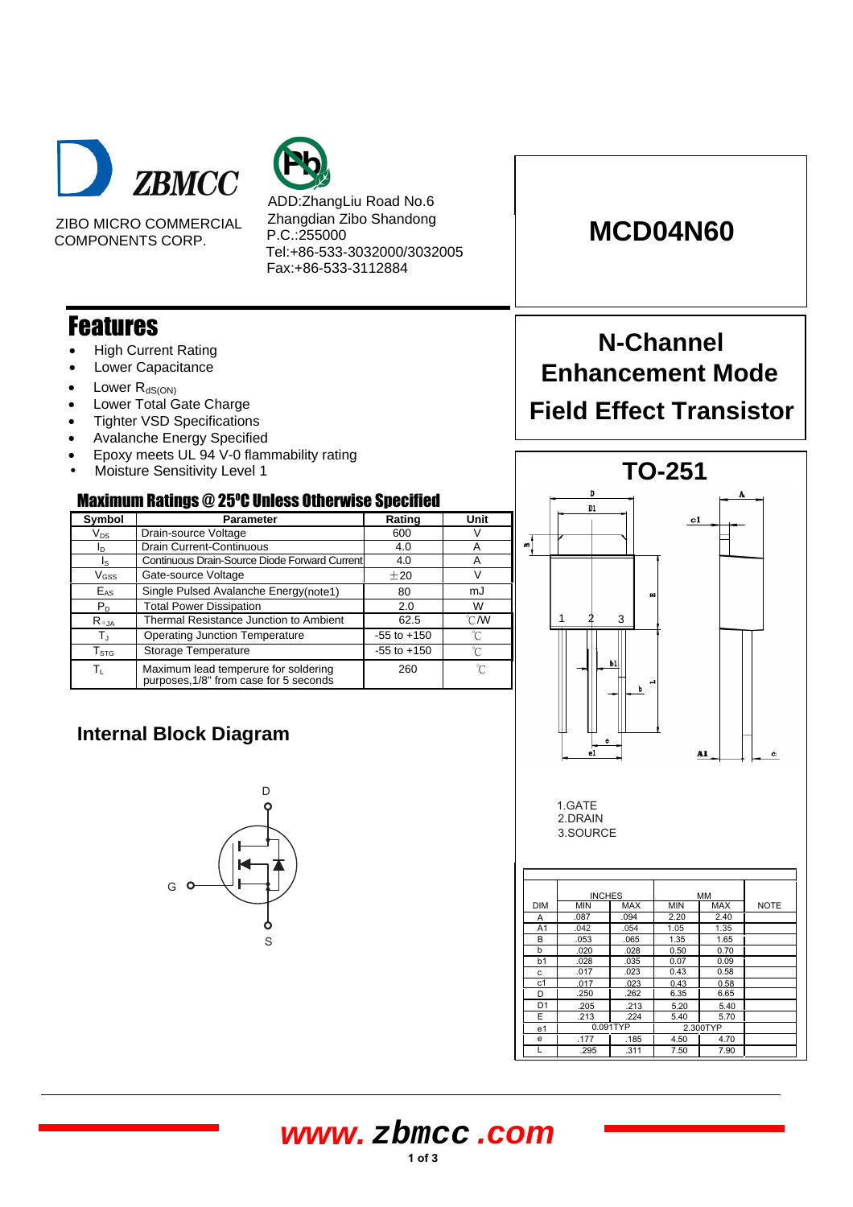



ZIBO MICRO COMMERCIAL COMPONENTS CORP.

ADD:ZhangLiu Road No.6 Zhangdian Zibo Shandong P.C.:255000 Tel:+86-533-3032000/3032005 Fax:+86-533-3112884

### Features

- High Current Rating
- Lower Capacitance
- Lower  $R_{dS(ON)}$
- Lower Total Gate Charge
- **Tighter VSD Specifications**
- Avalanche Energy Specified
- Epoxy meets UL 94 V-0 flammability rating
- Moisture Sensitivity Level 1

**Internal Block Diagram**

G

### Maximum Ratings @ 25 <sup>O</sup>C Unless Otherwise Specified

| Symbol                  | <b>Parameter</b>                                                               | Rating          | Unit           |  |  |
|-------------------------|--------------------------------------------------------------------------------|-----------------|----------------|--|--|
| $V_{DS}$                | Drain-source Voltage                                                           | 600             | V              |  |  |
| ID.                     | <b>Drain Current-Continuous</b>                                                | 4.0             | Α              |  |  |
| Ιs                      | Continuous Drain-Source Diode Forward Current                                  | 4.0             | A              |  |  |
| $V$ <sub>GSS</sub>      | Gate-source Voltage                                                            | ±20             | V              |  |  |
| $E_{AS}$                | Single Pulsed Avalanche Energy(note1)                                          | 80              | mJ             |  |  |
| $P_{D}$                 | <b>Total Power Dissipation</b>                                                 | 2.0             | W              |  |  |
| $R_{\theta$ JA          | Thermal Resistance Junction to Ambient                                         | 62.5            | $^{\circ}$ C/W |  |  |
| $\mathsf{T}_\mathrm{J}$ | <b>Operating Junction Temperature</b>                                          | $-55$ to $+150$ | °C             |  |  |
| $T_{\text{STG}}$        | Storage Temperature                                                            | $-55$ to $+150$ | °C             |  |  |
| Tυ                      | Maximum lead temperure for soldering<br>purposes, 1/8" from case for 5 seconds | 260             | °C             |  |  |

S

D

К

# **MCD04N60**

# **N-Channel Enhancement Mode Field Effect Transistor**



1.GATE 2.DRAIN 3.SOURCE

|                | <b>INCHES</b> |            | MM         |            |             |
|----------------|---------------|------------|------------|------------|-------------|
| DIM            | <b>MIN</b>    | <b>MAX</b> | <b>MIN</b> | <b>MAX</b> | <b>NOTE</b> |
| Α              | .087          | .094       | 2.20       | 2.40       |             |
| A <sub>1</sub> | .042          | .054       | 1.05       | 1.35       |             |
| B              | .053          | .065       | 1.35       | 1.65       |             |
| b              | .020          | .028       | 0.50       | 0.70       |             |
| b <sub>1</sub> | .028          | .035       | 0.07       | 0.09       |             |
| c              | .017          | .023       | 0.43       | 0.58       |             |
| c <sub>1</sub> | .017          | .023       | 0.43       | 0.58       |             |
| D              | .250          | .262       | 6.35       | 6.65       |             |
| D <sub>1</sub> | .205          | .213       | 5.20       | 5.40       |             |
| E              | .213          | .224       | 5.40       | 5.70       |             |
| e <sub>1</sub> |               | 0.091TYP   |            | 2.300TYP   |             |
| e              | .177          | .185       | 4.50       | 4.70       |             |
|                | .295          | .311       | 7.50       | 7.90       |             |

## **www. zbmcc .com**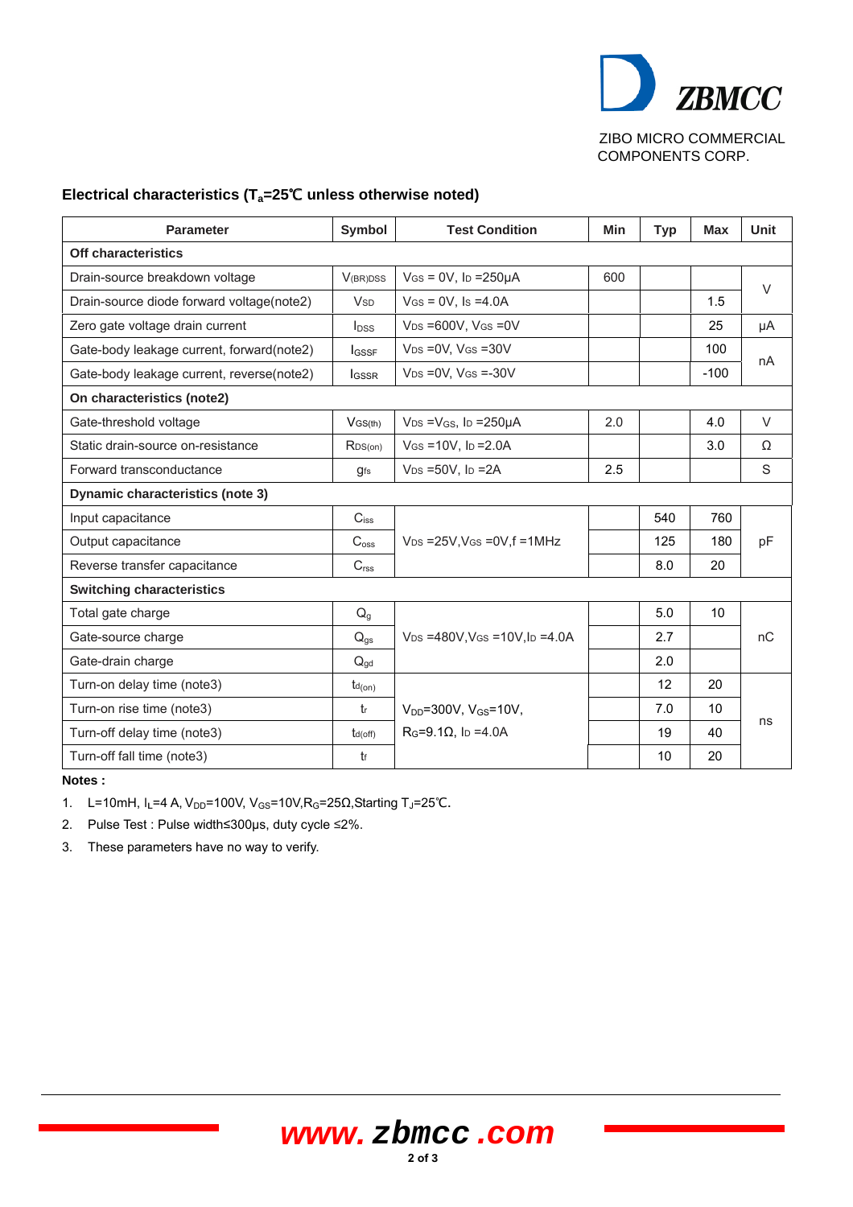

ZIBO MICRO COMMERCIAL COMPONENTS CORP.

#### Electrical characteristics (T<sub>a</sub>=25°C unless otherwise noted)

| <b>Parameter</b>                          | Symbol                 | <b>Test Condition</b>                                  | Min | <b>Typ</b> | <b>Max</b> | Unit   |
|-------------------------------------------|------------------------|--------------------------------------------------------|-----|------------|------------|--------|
| Off characteristics                       |                        |                                                        |     |            |            |        |
| Drain-source breakdown voltage            | <b>V</b> (BR)DSS       | $V$ <sub>GS</sub> = $0$ V, l <sub>D</sub> = $250\mu$ A | 600 |            |            | $\vee$ |
| Drain-source diode forward voltage(note2) | <b>V</b> <sub>SD</sub> | $V$ Gs = 0V, Is = 4.0A                                 |     |            | 1.5        |        |
| Zero gate voltage drain current           | $I_{DSS}$              | $V_{DS} = 600V$ , $V_{GS} = 0V$                        |     |            | 25         | μA     |
| Gate-body leakage current, forward(note2) | $I_{GSSF}$             | $V_{DS} = 0V$ , $V_{GS} = 30V$                         |     |            | 100        | nA     |
| Gate-body leakage current, reverse(note2) | <b>I</b> GSSR          | $V_{DS} = 0V$ , $V_{GS} = -30V$                        |     |            | $-100$     |        |
| On characteristics (note2)                |                        |                                                        |     |            |            |        |
| Gate-threshold voltage                    | $V$ GS(th)             | $V_{DS} = V_{GS}$ , lp = 250 $\mu$ A                   | 2.0 |            | 4.0        | $\vee$ |
| Static drain-source on-resistance         | RDS(on)                | $V$ GS = 10V, ID = 2.0A                                |     |            | 3.0        | Ω      |
| Forward transconductance                  | gfs                    | $V_{DS} = 50V$ , $I_D = 2A$                            | 2.5 |            |            | S      |
| <b>Dynamic characteristics (note 3)</b>   |                        |                                                        |     |            |            |        |
| Input capacitance                         | $C_{iss}$              |                                                        |     | 540        | 760        |        |
| Output capacitance                        | C <sub>oss</sub>       | $V_{DS}$ =25V, VGs = 0V, f = 1MHz                      |     | 125        | 180        | pF     |
| Reverse transfer capacitance              | C <sub>rss</sub>       |                                                        |     | 8.0        | 20         |        |
| <b>Switching characteristics</b>          |                        |                                                        |     |            |            |        |
| Total gate charge                         | $Q_g$                  |                                                        |     | 5.0        | 10         |        |
| Gate-source charge                        | $Q_{gs}$               | $V_{DS} = 480V$ , $V_{GS} = 10V$ , $I_D = 4.0A$        |     | 2.7        |            | nC     |
| Gate-drain charge                         | $Q_{gd}$               |                                                        |     | 2.0        |            |        |
| Turn-on delay time (note3)                | $t_{d(on)}$            |                                                        |     | 12         | 20         |        |
| Turn-on rise time (note3)                 | tr                     | $V_{DD} = 300V$ , $V_{GS} = 10V$ ,                     |     | 7.0        | 10         | ns     |
| Turn-off delay time (note3)               | $t_{d(off)}$           | $R_G = 9.1 \Omega$ , lp = 4.0A                         |     | 19         | 40         |        |
| Turn-off fall time (note3)                | tf                     |                                                        |     | 10         | 20         |        |

**Notes :** 

1. L=10mH, I<sub>L</sub>=4 A, V<sub>DD</sub>=100V, V<sub>GS</sub>=10V, R<sub>G</sub>=25Ω, Starting T<sub>J</sub>=25°C.

2. Pulse Test : Pulse width≤300µs, duty cycle ≤2%.

3. These parameters have no way to verify.